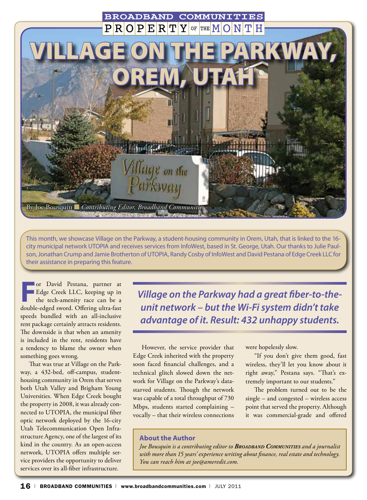

This month, we showcase Village on the Parkway, a student-housing community in Orem, Utah, that is linked to the 16 city municipal network UTOPIA and receives services from InfoWest, based in St. George, Utah. Our thanks to Julie Paulson, Jonathan Crump and Jamie Brotherton of UTOPIA, Randy Cosby of InfoWest and David Pestana of Edge Creek LLC for their assistance in preparing this feature.

**For David Pestana, partner at**<br>**Edge Creek LLC, keeping up in**<br>the tech-amenity race can be a Edge Creek LLC, keeping up in the tech-amenity race can be a double-edged sword. Offering ultra-fast speeds bundled with an all-inclusive rent package certainly attracts residents. The downside is that when an amenity is included in the rent, residents have a tendency to blame the owner when something goes wrong.

That was true at Village on the Parkway, a 432-bed, off-campus, studenthousing community in Orem that serves both Utah Valley and Brigham Young Universities. When Edge Creek bought the property in 2008, it was already connected to UTOPIA, the municipal fiber optic network deployed by the 16-city Utah Telecommunication Open Infrastructure Agency, one of the largest of its kind in the country. As an open-access network, UTOPIA offers multiple service providers the opportunity to deliver services over its all-fiber infrastructure.

*Village on the Parkway had a great fiber-to-theunit network – but the Wi-Fi system didn't take advantage of it. Result: 432 unhappy students.*

However, the service provider that Edge Creek inherited with the property soon faced financial challenges, and a technical glitch slowed down the network for Village on the Parkway's datastarved students. Though the network was capable of a total throughput of 730 Mbps, students started complaining – vocally – that their wireless connections were hopelessly slow.

"If you don't give them good, fast wireless, they'll let you know about it right away," Pestana says. "That's extremely important to our students."

The problem turned out to be the single – and congested – wireless access point that served the property. Although it was commercial-grade and offered

#### **About the Author**

*Joe Bousquin is a contributing editor to Broadband Communities and a journalist with more than 15 years' experience writing about finance, real estate and technology. You can reach him at joe@ameredit.com.*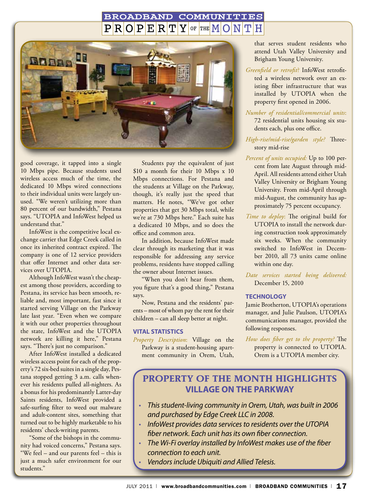#### **BROADBAND** COMMUNITIES  $R[O]P[E]R[T]Y$ OF THE  $M/O$



good coverage, it tapped into a single 10 Mbps pipe. Because students used wireless access much of the time, the dedicated 10 Mbps wired connections to their individual units were largely unused. "We weren't utilizing more than 80 percent of our bandwidth," Pestana says. "UTOPIA and InfoWest helped us understand that."

InfoWest is the competitive local exchange carrier that Edge Creek called in once its inherited contract expired. The company is one of 12 service providers that offer Internet and other data services over UTOPIA.

Although InfoWest wasn't the cheapest among those providers, according to Pestana, its service has been smooth, reliable and, most important, fast since it started serving Village on the Parkway late last year. "Even when we compare it with our other properties throughout the state, InfoWest and the UTOPIA network are killing it here," Pestana says. "There's just no comparison."

After InfoWest installed a dedicated wireless access point for each of the property's 72 six-bed suites in a single day, Pestana stopped getting 3 a.m. calls whenever his residents pulled all-nighters. As a bonus for his predominantly Latter-day Saints residents, InfoWest provided a safe-surfing filter to weed out malware and adult-content sites, something that turned out to be highly marketable to his residents' check-writing parents.

"Some of the bishops in the community had voiced concerns," Pestana says. "We feel – and our parents feel – this is just a much safer environment for our students."

Students pay the equivalent of just \$10 a month for their 10 Mbps x 10 Mbps connections. For Pestana and the students at Village on the Parkway, though, it's really just the speed that matters. He notes, "We've got other properties that get 30 Mbps total, while we're at 730 Mbps here." Each suite has a dedicated 10 Mbps, and so does the office and common area.

In addition, because InfoWest made clear through its marketing that it was responsible for addressing any service problems, residents have stopped calling the owner about Internet issues.

"When you don't hear from them, you figure that's a good thing," Pestana says.

Now, Pestana and the residents' parents – most of whom pay the rent for their children – can all sleep better at night.

#### **Vital Statistics**

*Property Description*: Village on the Parkway is a student-housing apartment community in Orem, Utah,

that serves student residents who attend Utah Valley University and Brigham Young University.

- *Greenfield or retrofit*? InfoWest retrofitted a wireless network over an existing fiber infrastructure that was installed by UTOPIA when the property first opened in 2006.
- *Number of residential/commercial units*: 72 residential units housing six students each, plus one office.
- *High-rise/mid-rise/garden style?* Threestory mid-rise
- *Percent of units occupied:* Up to 100 percent from late August through mid-April. All residents attend either Utah Valley University or Brigham Young University. From mid-April through mid-August, the community has approximately 75 percent occupancy.
- *Time to deploy*: The original build for UTOPIA to install the network during construction took approximately six weeks. When the community switched to InfoWest in December 2010, all 73 units came online within one day.

*Date services started being delivered:* December 15, 2010

#### **Technology**

Jamie Brotherton, UTOPIA's operations manager, and Julie Paulson, UTOPIA's communications manager, provided the following responses.

*How does fiber get to the property?* The property is connected to UTOPIA. Orem is a UTOPIA member city.

## **Property of the Month Highlights Village on the parkway**

- *• Thisstudent-living community in Orem, Utah, was built in 2006 and purchased by Edge Creek LLC in 2008.*
- *• InfoWest provides data servicesto residents over the UTOPIA fiber network. Each unit hasits own fiber connection.*
- *• The Wi-Fi overlay installed by InfoWest makes use of the fiber connection to each unit.*
- *• Vendorsinclude Ubiquiti and Allied Telesis.*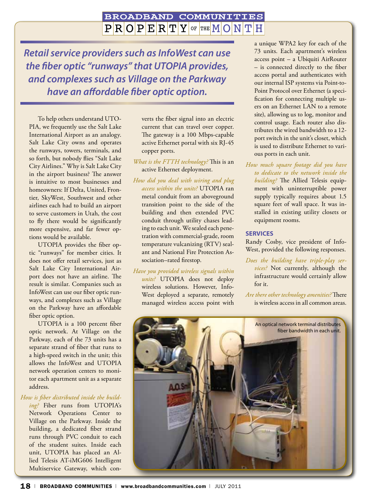#### **BROADBAND COMMUNITIES**  $\mathbf{P}[\mathbf{R}|\mathbf{O}|\mathbf{P}|\mathbf{E}|\mathbf{R}|\mathbf{T}|\mathbf{Y}|$  of the  $\mathbf{M}|\mathbf{O}|\mathbf{N}|$ H

*Retail service providers such as InfoWest can use the fiber optic "runways" that UTOPIA provides, and complexes such as Village on the Parkway have an affordable fiber optic option.*

To help others understand UTO-PIA, we frequently use the Salt Lake International Airport as an analogy. Salt Lake City owns and operates the runways, towers, terminals, and so forth, but nobody flies "Salt Lake City Airlines." Why is Salt Lake City in the airport business? The answer is intuitive to most businesses and homeowners: If Delta, United, Frontier, SkyWest, Southwest and other airlines each had to build an airport to serve customers in Utah, the cost to fly there would be significantly more expensive, and far fewer options would be available.

UTOPIA provides the fiber optic "runways" for member cities. It does not offer retail services, just as Salt Lake City International Airport does not have an airline. The result is similar. Companies such as InfoWest can use our fiber optic runways, and complexes such as Village on the Parkway have an affordable fiber optic option.

UTOPIA is a 100 percent fiber optic network. At Village on the Parkway, each of the 73 units has a separate strand of fiber that runs to a high-speed switch in the unit; this allows the InfoWest and UTOPIA network operation centers to monitor each apartment unit as a separate address.

#### *How is fiber distributed inside the build-*

*ing?* Fiber runs from UTOPIA's Network Operations Center to Village on the Parkway. Inside the building, a dedicated fiber strand runs through PVC conduit to each of the student suites. Inside each unit, UTOPIA has placed an Allied Telesis AT-iMG606 Intelligent Multiservice Gateway, which converts the fiber signal into an electric current that can travel over copper. The gateway is a 100 Mbps-capable active Ethernet portal with six RJ-45 copper ports.

- *What is the FTTH technology?* This is an active Ethernet deployment.
- *How did you deal with wiring and plug access within the units?* UTOPIA ran metal conduit from an aboveground transition point to the side of the building and then extended PVC conduit through utility chases leading to each unit. We sealed each penetration with commercial-grade, room temperature vulcanizing (RTV) sealant and National Fire Protection Association–rated firestop.
- *Have you provided wireless signals within units?* UTOPIA does not deploy wireless solutions. However, Info-West deployed a separate, remotely managed wireless access point with

a unique WPA2 key for each of the 73 units. Each apartment's wireless access point – a Ubiquiti AirRouter – is connected directly to the fiber access portal and authenticates with our internal ISP systems via Point-to-Point Protocol over Ethernet (a specification for connecting multiple users on an Ethernet LAN to a remote site), allowing us to log, monitor and control usage. Each router also distributes the wired bandwidth to a 12 port switch in the unit's closet, which is used to distribute Ethernet to various ports in each unit.

*How much square footage did you have to dedicate to the network inside the building?* The Allied Telesis equipment with uninterruptible power supply typically requires about 1.5 square feet of wall space. It was installed in existing utility closets or equipment rooms.

#### **Services**

Randy Cosby, vice president of Info-West, provided the following responses.

*Does the building have triple-play services?* Not currently, although the infrastructure would certainly allow for it.

*Are there other technology amenities?* There is wireless access in all common areas.

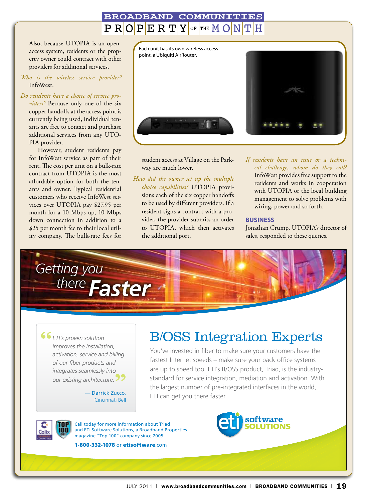#### **BROADBAND** COMMUNI OF THE  $M$  $PIR[O]P$  $E$ <sub>R<sup>T</sup></sub> Y

Also, because UTOPIA is an openaccess system, residents or the property owner could contract with other providers for additional services.

*Who is the wireless service provider?* InfoWest.

#### *Do residents have a choice of service pro-*

*viders?* Because only one of the six copper handoffs at the access point is currently being used, individual tenants are free to contact and purchase additional services from any UTO-PIA provider.

However, student residents pay for InfoWest service as part of their rent. The cost per unit on a bulk-rate contract from UTOPIA is the most affordable option for both the tenants and owner. Typical residential customers who receive InfoWest services over UTOPIA pay \$27.95 per month for a 10 Mbps up, 10 Mbps down connection in addition to a \$25 per month fee to their local utility company. The bulk-rate fees for



student access at Village on the Parkway are much lower.

*How did the owner set up the multiple choice capabilities?* UTOPIA provisions each of the six copper handoffs to be used by different providers. If a resident signs a contract with a provider, the provider submits an order to UTOPIA, which then activates the additional port.

*If residents have an issue or a technical challenge, whom do they call?* InfoWest provides free support to the residents and works in cooperation with UTOPIA or the local building management to solve problems with wiring, power and so forth.

#### **Business**

Jonathan Crump, UTOPIA's director of sales, responded to these queries.



"  $\int$ 99 *ETI's proven solution improves the installation, activation, service and billing of our fiber products and integrates seamlessly into our existing architecture.*

— Darrick Zucco, Cincinnati Bell

# B/OSS Integration Experts

You've invested in fiber to make sure your customers have the fastest Internet speeds – make sure your back office systems are up to speed too. ETI's B/OSS product, Triad, is the industrystandard for service integration, mediation and activation. With the largest number of pre-integrated interfaces in the world, ETI can get you there faster.

software



Call today for more information about Triad and ETI Software Solutions, a Broadband Properties magazine "Top 100" company since 2005.

1-800-332-1078 or etisoftware.com